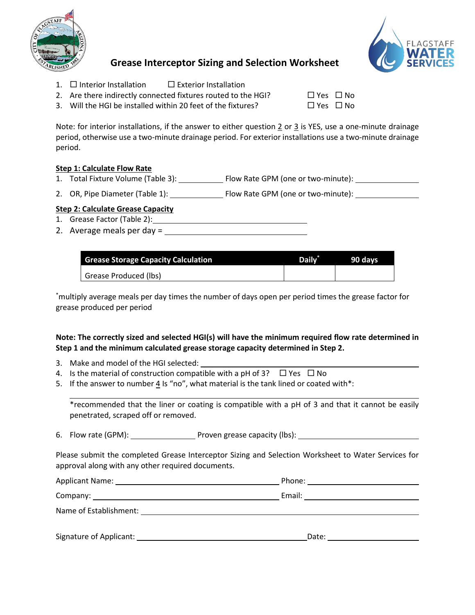

- **Grease Interceptor Sizing and Selection Worksheet**
- 1.  $\Box$  Interior Installation  $\Box$  Exterior Installation
- 2. Are there indirectly connected fixtures routed to the HGI?  $\square$  Yes  $\square$  No
- 3. Will the HGI be installed within 20 feet of the fixtures?  $\Box$  Yes  $\Box$  No

Note: for interior installations, if the answer to either question 2 or 3 is YES, use a one-minute drainage period, otherwise use a two-minute drainage period. For exterior installations use a two-minute drainage period.

## **Step 1: Calculate Flow Rate**

- 1. Total Fixture Volume (Table 3): Flow Rate GPM (one or two-minute): 1. Total Fixture Volume (Table 3):
- 2. OR, Pipe Diameter (Table 1): Flow Rate GPM (one or two-minute): 1992.

## **Step 2: Calculate Grease Capacity**

- 1. Grease Factor (Table 2):
- 2. Average meals per day =

| <b>Grease Storage Capacity Calculation</b> | <b>Daily</b> | 90 davs |
|--------------------------------------------|--------------|---------|
| Grease Produced (lbs)                      |              |         |

\* multiply average meals per day times the number of days open per period times the grease factor for grease produced per period

## **Note: The correctly sized and selected HGI(s) will have the minimum required flow rate determined in Step 1 and the minimum calculated grease storage capacity determined in Step 2.**

- 3. Make and model of the HGI selected:
- 4. Is the material of construction compatible with a pH of 3?  $\Box$  Yes  $\Box$  No
- 5. If the answer to number  $4 \text{ ls }$  "no", what material is the tank lined or coated with\*:

\*recommended that the liner or coating is compatible with a pH of 3 and that it cannot be easily penetrated, scraped off or removed.

6. Flow rate (GPM): Proven grease capacity (lbs):

Please submit the completed Grease Interceptor Sizing and Selection Worksheet to Water Services for approval along with any other required documents.

|                                                                                                                                                                                                                                | Email: __________________________ |  |  |
|--------------------------------------------------------------------------------------------------------------------------------------------------------------------------------------------------------------------------------|-----------------------------------|--|--|
| Name of Establishment: Name of The Second Second Second Second Second Second Second Second Second Second Second Second Second Second Second Second Second Second Second Second Second Second Second Second Second Second Secon |                                   |  |  |
| Signature of Applicant:                                                                                                                                                                                                        | Date:                             |  |  |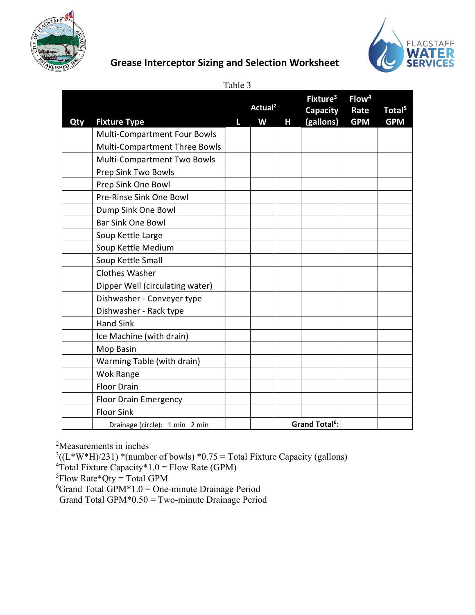

# **Grease Interceptor Sizing and Selection Worksheet**



## Table 3

|     |                                 |   | Actual <sup>2</sup> |   | Fixture <sup>3</sup>            | Flow <sup>4</sup>  |                                  |
|-----|---------------------------------|---|---------------------|---|---------------------------------|--------------------|----------------------------------|
| Qty | <b>Fixture Type</b>             | L | W                   | Н | <b>Capacity</b><br>(gallons)    | Rate<br><b>GPM</b> | Total <sup>5</sup><br><b>GPM</b> |
|     | Multi-Compartment Four Bowls    |   |                     |   |                                 |                    |                                  |
|     | Multi-Compartment Three Bowls   |   |                     |   |                                 |                    |                                  |
|     | Multi-Compartment Two Bowls     |   |                     |   |                                 |                    |                                  |
|     | Prep Sink Two Bowls             |   |                     |   |                                 |                    |                                  |
|     | Prep Sink One Bowl              |   |                     |   |                                 |                    |                                  |
|     | Pre-Rinse Sink One Bowl         |   |                     |   |                                 |                    |                                  |
|     | Dump Sink One Bowl              |   |                     |   |                                 |                    |                                  |
|     | <b>Bar Sink One Bowl</b>        |   |                     |   |                                 |                    |                                  |
|     | Soup Kettle Large               |   |                     |   |                                 |                    |                                  |
|     | Soup Kettle Medium              |   |                     |   |                                 |                    |                                  |
|     | Soup Kettle Small               |   |                     |   |                                 |                    |                                  |
|     | <b>Clothes Washer</b>           |   |                     |   |                                 |                    |                                  |
|     | Dipper Well (circulating water) |   |                     |   |                                 |                    |                                  |
|     | Dishwasher - Conveyer type      |   |                     |   |                                 |                    |                                  |
|     | Dishwasher - Rack type          |   |                     |   |                                 |                    |                                  |
|     | <b>Hand Sink</b>                |   |                     |   |                                 |                    |                                  |
|     | Ice Machine (with drain)        |   |                     |   |                                 |                    |                                  |
|     | Mop Basin                       |   |                     |   |                                 |                    |                                  |
|     | Warming Table (with drain)      |   |                     |   |                                 |                    |                                  |
|     | <b>Wok Range</b>                |   |                     |   |                                 |                    |                                  |
|     | <b>Floor Drain</b>              |   |                     |   |                                 |                    |                                  |
|     | <b>Floor Drain Emergency</b>    |   |                     |   |                                 |                    |                                  |
|     | <b>Floor Sink</b>               |   |                     |   |                                 |                    |                                  |
|     | Drainage (circle): 1 min 2 min  |   |                     |   | <b>Grand Total<sup>6</sup>:</b> |                    |                                  |

<sup>2</sup>Measurements in inches

 $3((L*W*H)/231)$  \*(number of bowls) \*0.75 = Total Fixture Capacity (gallons)

4 Total Fixture Capacity\*1.0 = Flow Rate (GPM)

 ${}^{5}$ Flow Rate\*Qty = Total GPM

 ${}^{6}$ Grand Total GPM $*1.0 =$ One-minute Drainage Period

Grand Total GPM\*0.50 = Two-minute Drainage Period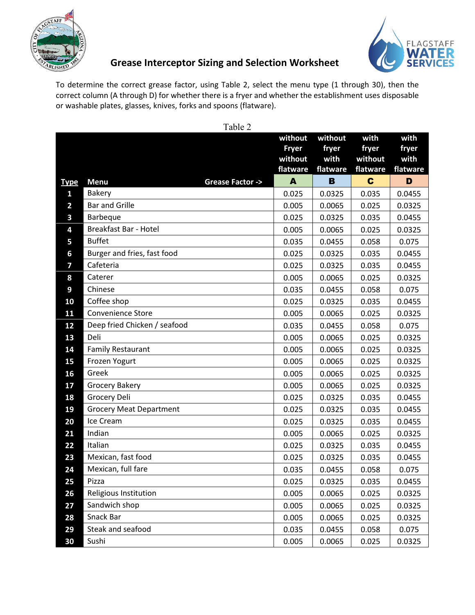



## **Grease Interceptor Sizing and Selection Worksheet**

To determine the correct grease factor, using Table 2, select the menu type (1 through 30), then the correct column (A through D) for whether there is a fryer and whether the establishment uses disposable or washable plates, glasses, knives, forks and spoons (flatware).

|                         |                                           | without<br><b>Fryer</b><br>without<br>flatware | without<br>fryer<br>with<br>flatware | with<br>fryer<br>without<br>flatware | with<br>fryer<br>with<br>flatware |
|-------------------------|-------------------------------------------|------------------------------------------------|--------------------------------------|--------------------------------------|-----------------------------------|
| <b>Type</b>             | <b>Menu</b><br><b>Grease Factor -&gt;</b> | A                                              | B                                    | C                                    | D                                 |
| $\mathbf{1}$            | Bakery                                    | 0.025                                          | 0.0325                               | 0.035                                | 0.0455                            |
| $\overline{2}$          | <b>Bar and Grille</b>                     | 0.005                                          | 0.0065                               | 0.025                                | 0.0325                            |
| 3                       | Barbeque                                  | 0.025                                          | 0.0325                               | 0.035                                | 0.0455                            |
| 4                       | Breakfast Bar - Hotel                     | 0.005                                          | 0.0065                               | 0.025                                | 0.0325                            |
| 5                       | <b>Buffet</b>                             | 0.035                                          | 0.0455                               | 0.058                                | 0.075                             |
| 6                       | Burger and fries, fast food               | 0.025                                          | 0.0325                               | 0.035                                | 0.0455                            |
| $\overline{\mathbf{z}}$ | Cafeteria                                 | 0.025                                          | 0.0325                               | 0.035                                | 0.0455                            |
| 8                       | Caterer                                   | 0.005                                          | 0.0065                               | 0.025                                | 0.0325                            |
| 9                       | Chinese                                   | 0.035                                          | 0.0455                               | 0.058                                | 0.075                             |
| 10                      | Coffee shop                               | 0.025                                          | 0.0325                               | 0.035                                | 0.0455                            |
| 11                      | <b>Convenience Store</b>                  | 0.005                                          | 0.0065                               | 0.025                                | 0.0325                            |
| 12                      | Deep fried Chicken / seafood              | 0.035                                          | 0.0455                               | 0.058                                | 0.075                             |
| 13                      | Deli                                      | 0.005                                          | 0.0065                               | 0.025                                | 0.0325                            |
| 14                      | <b>Family Restaurant</b>                  | 0.005                                          | 0.0065                               | 0.025                                | 0.0325                            |
| 15                      | Frozen Yogurt                             | 0.005                                          | 0.0065                               | 0.025                                | 0.0325                            |
| 16                      | Greek                                     | 0.005                                          | 0.0065                               | 0.025                                | 0.0325                            |
| 17                      | <b>Grocery Bakery</b>                     | 0.005                                          | 0.0065                               | 0.025                                | 0.0325                            |
| 18                      | Grocery Deli                              | 0.025                                          | 0.0325                               | 0.035                                | 0.0455                            |
| 19                      | <b>Grocery Meat Department</b>            | 0.025                                          | 0.0325                               | 0.035                                | 0.0455                            |
| 20                      | Ice Cream                                 | 0.025                                          | 0.0325                               | 0.035                                | 0.0455                            |
| 21                      | Indian                                    | 0.005                                          | 0.0065                               | 0.025                                | 0.0325                            |
| 22                      | Italian                                   | 0.025                                          | 0.0325                               | 0.035                                | 0.0455                            |
| 23                      | Mexican, fast food                        | 0.025                                          | 0.0325                               | 0.035                                | 0.0455                            |
| 24                      | Mexican, full fare                        | 0.035                                          | 0.0455                               | 0.058                                | 0.075                             |
| 25                      | Pizza                                     | 0.025                                          | 0.0325                               | 0.035                                | 0.0455                            |
| 26                      | Religious Institution                     | 0.005                                          | 0.0065                               | 0.025                                | 0.0325                            |
| 27                      | Sandwich shop                             | 0.005                                          | 0.0065                               | 0.025                                | 0.0325                            |
| 28                      | Snack Bar                                 | 0.005                                          | 0.0065                               | 0.025                                | 0.0325                            |
| 29                      | Steak and seafood                         | 0.035                                          | 0.0455                               | 0.058                                | 0.075                             |
| 30                      | Sushi                                     | 0.005                                          | 0.0065                               | 0.025                                | 0.0325                            |